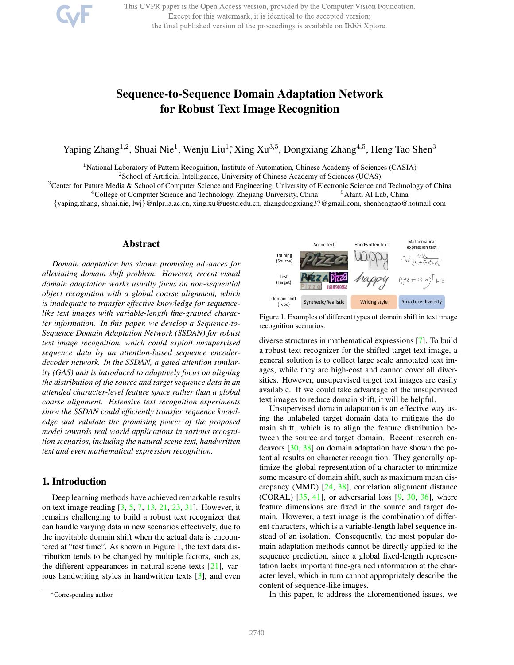This CVPR paper is the Open Access version, provided by the Computer Vision Foundation. Except for this watermark, it is identical to the accepted version; the final published version of the proceedings is available on IEEE Xplore.

# Sequence-to-Sequence Domain Adaptation Network for Robust Text Image Recognition

Yaping Zhang<sup>1,2</sup>, Shuai Nie<sup>1</sup>, Wenju Liu<sup>1</sup>\*, Xing Xu<sup>3,5</sup>, Dongxiang Zhang<sup>4,5</sup>, Heng Tao Shen<sup>3</sup>

<sup>1</sup>National Laboratory of Pattern Recognition, Institute of Automation, Chinese Academy of Sciences (CASIA)

<sup>2</sup> School of Artificial Intelligence, University of Chinese Academy of Sciences (UCAS)

<sup>3</sup>Center for Future Media & School of Computer Science and Engineering, University of Electronic Science and Technology of China <sup>4</sup>College of Computer Science and Technology, Zhejiang University, China <sup>5</sup>Afanti AI Lab, China

{yaping.zhang, shuai.nie, lwj}@nlpr.ia.ac.cn, xing.xu@uestc.edu.cn, zhangdongxiang37@gmail.com, shenhengtao@hotmail.com

## Abstract

*Domain adaptation has shown promising advances for alleviating domain shift problem. However, recent visual domain adaptation works usually focus on non-sequential object recognition with a global coarse alignment, which is inadequate to transfer effective knowledge for sequencelike text images with variable-length fine-grained character information. In this paper, we develop a Sequence-to-Sequence Domain Adaptation Network (SSDAN) for robust text image recognition, which could exploit unsupervised sequence data by an attention-based sequence encoderdecoder network. In the SSDAN, a gated attention similarity (GAS) unit is introduced to adaptively focus on aligning the distribution of the source and target sequence data in an attended character-level feature space rather than a global coarse alignment. Extensive text recognition experiments show the SSDAN could efficiently transfer sequence knowledge and validate the promising power of the proposed model towards real world applications in various recognition scenarios, including the natural scene text, handwritten text and even mathematical expression recognition.*

# 1. Introduction

Deep learning methods have achieved remarkable results on text image reading [3, 5, 7, 13, 21, 23, 31]. However, it remains challenging to build a robust text recognizer that can handle varying data in new scenarios effectively, due to the inevitable domain shift when the actual data is encountered at "test time". As shown in Figure 1, the text data distribution tends to be changed by multiple factors, such as, the different appearances in natural scene texts  $[21]$ , various handwriting styles in handwritten texts [3], and even



Figure 1. Examples of different types of domain shift in text image recognition scenarios.

diverse structures in mathematical expressions [7]. To build a robust text recognizer for the shifted target text image, a general solution is to collect large scale annotated text images, while they are high-cost and cannot cover all diversities. However, unsupervised target text images are easily available. If we could take advantage of the unsupervised text images to reduce domain shift, it will be helpful.

Unsupervised domain adaptation is an effective way using the unlabeled target domain data to mitigate the domain shift, which is to align the feature distribution between the source and target domain. Recent research endeavors [30, 38] on domain adaptation have shown the potential results on character recognition. They generally optimize the global representation of a character to minimize some measure of domain shift, such as maximum mean discrepancy (MMD) [24, 38], correlation alignment distance (CORAL)  $[35, 41]$ , or adversarial loss  $[9, 30, 36]$ , where feature dimensions are fixed in the source and target domain. However, a text image is the combination of different characters, which is a variable-length label sequence instead of an isolation. Consequently, the most popular domain adaptation methods cannot be directly applied to the sequence prediction, since a global fixed-length representation lacks important fine-grained information at the character level, which in turn cannot appropriately describe the content of sequence-like images.

In this paper, to address the aforementioned issues, we

<sup>∗</sup>Corresponding author.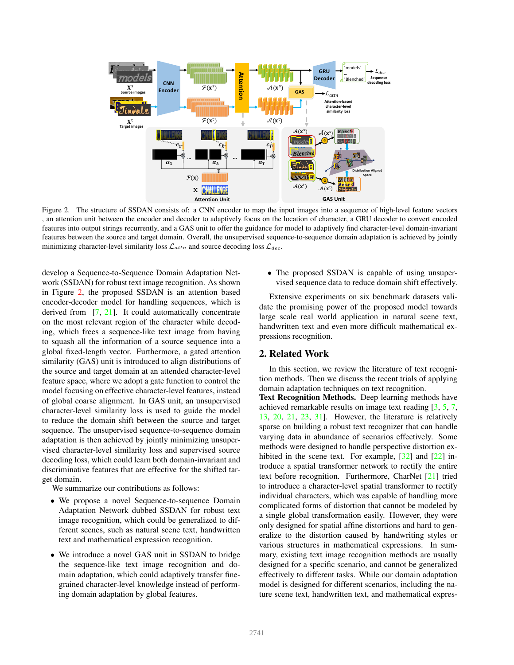

Figure 2. The structure of SSDAN consists of: a CNN encoder to map the input images into a sequence of high-level feature vectors , an attention unit between the encoder and decoder to adaptively focus on the location of character, a GRU decoder to convert encoded features into output strings recurrently, and a GAS unit to offer the guidance for model to adaptively find character-level domain-invariant features between the source and target domain. Overall, the unsupervised sequence-to-sequence domain adaptation is achieved by jointly minimizing character-level similarity loss  $\mathcal{L}_{attn}$  and source decoding loss  $\mathcal{L}_{dec}$ .

develop a Sequence-to-Sequence Domain Adaptation Network (SSDAN) for robust text image recognition. As shown in Figure 2, the proposed SSDAN is an attention based encoder-decoder model for handling sequences, which is derived from [7, 21]. It could automatically concentrate on the most relevant region of the character while decoding, which frees a sequence-like text image from having to squash all the information of a source sequence into a global fixed-length vector. Furthermore, a gated attention similarity (GAS) unit is introduced to align distributions of the source and target domain at an attended character-level feature space, where we adopt a gate function to control the model focusing on effective character-level features, instead of global coarse alignment. In GAS unit, an unsupervised character-level similarity loss is used to guide the model to reduce the domain shift between the source and target sequence. The unsupervised sequence-to-sequence domain adaptation is then achieved by jointly minimizing unsupervised character-level similarity loss and supervised source decoding loss, which could learn both domain-invariant and discriminative features that are effective for the shifted target domain.

We summarize our contributions as follows:

- We propose a novel Sequence-to-sequence Domain Adaptation Network dubbed SSDAN for robust text image recognition, which could be generalized to different scenes, such as natural scene text, handwritten text and mathematical expression recognition.
- We introduce a novel GAS unit in SSDAN to bridge the sequence-like text image recognition and domain adaptation, which could adaptively transfer finegrained character-level knowledge instead of performing domain adaptation by global features.

• The proposed SSDAN is capable of using unsupervised sequence data to reduce domain shift effectively.

Extensive experiments on six benchmark datasets validate the promising power of the proposed model towards large scale real world application in natural scene text, handwritten text and even more difficult mathematical expressions recognition.

### 2. Related Work

In this section, we review the literature of text recognition methods. Then we discuss the recent trials of applying domain adaptation techniques on text recognition.

Text Recognition Methods. Deep learning methods have achieved remarkable results on image text reading [3, 5, 7, 13, 20, 21, 23, 31]. However, the literature is relatively sparse on building a robust text recognizer that can handle varying data in abundance of scenarios effectively. Some methods were designed to handle perspective distortion exhibited in the scene text. For example, [32] and [22] introduce a spatial transformer network to rectify the entire text before recognition. Furthermore, CharNet [21] tried to introduce a character-level spatial transformer to rectify individual characters, which was capable of handling more complicated forms of distortion that cannot be modeled by a single global transformation easily. However, they were only designed for spatial affine distortions and hard to generalize to the distortion caused by handwriting styles or various structures in mathematical expressions. In summary, existing text image recognition methods are usually designed for a specific scenario, and cannot be generalized effectively to different tasks. While our domain adaptation model is designed for different scenarios, including the nature scene text, handwritten text, and mathematical expres-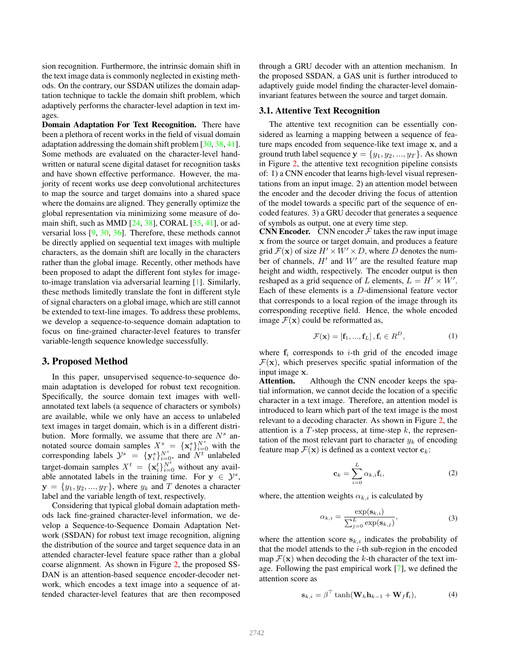sion recognition. Furthermore, the intrinsic domain shift in the text image data is commonly neglected in existing methods. On the contrary, our SSDAN utilizes the domain adaptation technique to tackle the domain shift problem, which adaptively performs the character-level adaption in text images.

Domain Adaptation For Text Recognition. There have been a plethora of recent works in the field of visual domain adaptation addressing the domain shift problem [30, 38, 41]. Some methods are evaluated on the character-level handwritten or natural scene digital dataset for recognition tasks and have shown effective performance. However, the majority of recent works use deep convolutional architectures to map the source and target domains into a shared space where the domains are aligned. They generally optimize the global representation via minimizing some measure of domain shift, such as MMD  $[24, 38]$ , CORAL  $[35, 41]$ , or adversarial loss [9, 30, 36]. Therefore, these methods cannot be directly applied on sequential text images with multiple characters, as the domain shift are locally in the characters rather than the global image. Recently, other methods have been proposed to adapt the different font styles for imageto-image translation via adversarial learning [1]. Similarly, these methods limitedly translate the font in different style of signal characters on a global image, which are still cannot be extended to text-line images. To address these problems, we develop a sequence-to-sequence domain adaptation to focus on fine-grained character-level features to transfer variable-length sequence knowledge successfully.

## 3. Proposed Method

In this paper, unsupervised sequence-to-sequence domain adaptation is developed for robust text recognition. Specifically, the source domain text images with wellannotated text labels (a sequence of characters or symbols) are available, while we only have an access to unlabeled text images in target domain, which is in a different distribution. More formally, we assume that there are  $N<sup>s</sup>$  annotated source domain samples  $X_{ss}^s = {\mathbf{x}_i^s}_{i=0}^{N^s}$  with the corresponding labels  $\mathcal{Y}^s = \{y_i^s\}_{i=0}^{N^s}$ , and  $\mathcal{N}^t$  unlabeled target-domain samples  $X^t = \{x_i^t\}_{i=0}^{N^t}$  without any available annotated labels in the training time. For  $y \in \mathcal{Y}^s$ ,  $y = \{y_1, y_2, ..., y_T\}$ , where  $y_k$  and T denotes a character label and the variable length of text, respectively.

Considering that typical global domain adaptation methods lack fine-grained character-level information, we develop a Sequence-to-Sequence Domain Adaptation Network (SSDAN) for robust text image recognition, aligning the distribution of the source and target sequence data in an attended character-level feature space rather than a global coarse alignment. As shown in Figure 2, the proposed SS-DAN is an attention-based sequence encoder-decoder network, which encodes a text image into a sequence of attended character-level features that are then recomposed through a GRU decoder with an attention mechanism. In the proposed SSDAN, a GAS unit is further introduced to adaptively guide model finding the character-level domaininvariant features between the source and target domain.

#### 3.1. Attentive Text Recognition

The attentive text recognition can be essentially considered as learning a mapping between a sequence of feature maps encoded from sequence-like text image x, and a ground truth label sequence  $y = \{y_1, y_2, ..., y_T\}$ . As shown in Figure 2, the attentive text recognition pipeline consists of: 1) a CNN encoder that learns high-level visual representations from an input image. 2) an attention model between the encoder and the decoder driving the focus of attention of the model towards a specific part of the sequence of encoded features. 3) a GRU decoder that generates a sequence of symbols as output, one at every time step.

CNN Encoder. CNN encoder  $\ddot{\mathcal{F}}$  takes the raw input image x from the source or target domain, and produces a feature grid  $\mathcal{F}(\mathbf{x})$  of size  $H' \times W' \times D$ , where D denotes the number of channels,  $H'$  and  $W'$  are the resulted feature map height and width, respectively. The encoder output is then reshaped as a grid sequence of L elements,  $L = H' \times W'$ . Each of these elements is a D-dimensional feature vector that corresponds to a local region of the image through its corresponding receptive field. Hence, the whole encoded image  $\mathcal{F}(\mathbf{x})$  could be reformatted as,

$$
\mathcal{F}(\mathbf{x}) = [\mathbf{f}_1, ..., \mathbf{f}_L], \mathbf{f}_i \in R^D,
$$
\n(1)

where  $f_i$  corresponds to *i*-th grid of the encoded image  $\mathcal{F}(\mathbf{x})$ , which preserves specific spatial information of the input image x.

Attention. Although the CNN encoder keeps the spatial information, we cannot decide the location of a specific character in a text image. Therefore, an attention model is introduced to learn which part of the text image is the most relevant to a decoding character. As shown in Figure 2, the attention is a  $T$ -step process, at time-step  $k$ , the representation of the most relevant part to character  $y_k$  of encoding feature map  $\mathcal{F}(\mathbf{x})$  is defined as a context vector  $\mathbf{c}_k$ :

$$
\mathbf{c}_k = \sum_{i=0}^L \alpha_{k,i} \mathbf{f}_i, \tag{2}
$$

where, the attention weights  $\alpha_{k,i}$  is calculated by

$$
\alpha_{k,i} = \frac{\exp(\mathbf{s}_{k,i})}{\sum_{j=0}^{L} \exp(\mathbf{s}_{k,j})},
$$
\n(3)

where the attention score  $s_{k,i}$  indicates the probability of that the model attends to the  $i$ -th sub-region in the encoded map  $\mathcal{F}(\mathbf{x})$  when decoding the k-th character of the text image. Following the past empirical work [7], we defined the attention score as

$$
\mathbf{s}_{k,i} = \beta^{\top} \tanh(\mathbf{W}_h \mathbf{h}_{k-1} + \mathbf{W}_f \mathbf{f}_i), \tag{4}
$$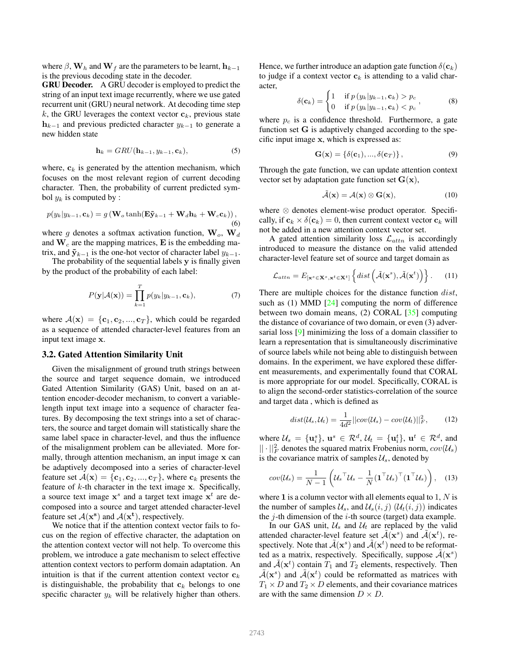where  $\beta$ , W<sub>h</sub> and W<sub>f</sub> are the parameters to be learnt,  $h_{k-1}$ is the previous decoding state in the decoder.

GRU Decoder. A GRU decoder is employed to predict the string of an input text image recurrently, where we use gated recurrent unit (GRU) neural network. At decoding time step k, the GRU leverages the context vector  $c_k$ , previous state  $h_{k-1}$  and previous predicted character  $y_{k-1}$  to generate a new hidden state

$$
\mathbf{h}_k = GRU(\mathbf{h}_{k-1}, y_{k-1}, \mathbf{c}_k),\tag{5}
$$

where,  $c_k$  is generated by the attention mechanism, which focuses on the most relevant region of current decoding character. Then, the probability of current predicted symbol  $y_k$  is computed by :

$$
p(y_k|y_{k-1}, \mathbf{c}_k) = g(\mathbf{W}_o \tanh(\mathbf{E}\tilde{\mathbf{y}}_{k-1} + \mathbf{W}_d \mathbf{h}_k + \mathbf{W}_c \mathbf{c}_k)),
$$
\n(6)

where g denotes a softmax activation function,  $\mathbf{W}_o$ ,  $\mathbf{W}_d$ and  $W_c$  are the mapping matrices, E is the embedding matrix, and  $\tilde{y}_{k-1}$  is the one-hot vector of character label  $y_{k-1}$ .

The probability of the sequential labels y is finally given by the product of the probability of each label:

$$
P(\mathbf{y}|\mathcal{A}(\mathbf{x})) = \prod_{k=1}^{T} p(y_k|y_{k-1}, \mathbf{c}_k),
$$
 (7)

where  $A(\mathbf{x}) = \{\mathbf{c}_1, \mathbf{c}_2, ..., \mathbf{c}_T\}$ , which could be regarded as a sequence of attended character-level features from an input text image x.

#### 3.2. Gated Attention Similarity Unit

Given the misalignment of ground truth strings between the source and target sequence domain, we introduced Gated Attention Similarity (GAS) Unit, based on an attention encoder-decoder mechanism, to convert a variablelength input text image into a sequence of character features. By decomposing the text strings into a set of characters, the source and target domain will statistically share the same label space in character-level, and thus the influence of the misalignment problem can be alleviated. More formally, through attention mechanism, an input image x can be adaptively decomposed into a series of character-level feature set  $A(\mathbf{x}) = \{\mathbf{c}_1, \mathbf{c}_2, ..., \mathbf{c}_T\}$ , where  $\mathbf{c}_k$  presents the feature of  $k$ -th character in the text image  $x$ . Specifically, a source text image  $x^s$  and a target text image  $x^t$  are decomposed into a source and target attended character-level feature set  $A(x^s)$  and  $A(x^t)$ , respectively.

We notice that if the attention context vector fails to focus on the region of effective character, the adaptation on the attention context vector will not help. To overcome this problem, we introduce a gate mechanism to select effective attention context vectors to perform domain adaptation. An intuition is that if the current attention context vector  $c_k$ is distinguishable, the probability that  $c_k$  belongs to one specific character  $y_k$  will be relatively higher than others.

Hence, we further introduce an adaption gate function  $\delta(c_k)$ to judge if a context vector  $c_k$  is attending to a valid character,

$$
\delta(\mathbf{c}_k) = \begin{cases} 1 & \text{if } p(y_k|y_{k-1}, \mathbf{c}_k) > p_c \\ 0 & \text{if } p(y_k|y_{k-1}, \mathbf{c}_k) < p_c \end{cases},
$$
(8)

where  $p_c$  is a confidence threshold. Furthermore, a gate function set G is adaptively changed according to the specific input image x, which is expressed as:

$$
\mathbf{G}(\mathbf{x}) = \{ \delta(\mathbf{c}_1), ..., \delta(\mathbf{c}_T) \},
$$
\n(9)

Through the gate function, we can update attention context vector set by adaptation gate function set  $G(x)$ ,

$$
\tilde{\mathcal{A}}(\mathbf{x}) = \mathcal{A}(\mathbf{x}) \otimes \mathbf{G}(\mathbf{x}),\tag{10}
$$

where ⊗ denotes element-wise product operator. Specifically, if  $c_k \times \delta(c_k) = 0$ , then current context vector  $c_k$  will not be added in a new attention context vector set.

A gated attention similarity loss  $\mathcal{L}_{attn}$  is accordingly introduced to measure the distance on the valid attended character-level feature set of source and target domain as

$$
\mathcal{L}_{attn} = E_{\left[\mathbf{x}^s \in \mathbf{X}^s, \mathbf{x}^t \in \mathbf{X}^t\right]} \left\{ dist \left(\tilde{\mathcal{A}}(\mathbf{x}^s), \tilde{\mathcal{A}}(\mathbf{x}^t) \right) \right\}.
$$
 (11)

There are multiple choices for the distance function *dist*, such as  $(1)$  MMD  $[24]$  computing the norm of difference between two domain means, (2) CORAL [35] computing the distance of covariance of two domain, or even (3) adversarial loss [9] minimizing the loss of a domain classifier to learn a representation that is simultaneously discriminative of source labels while not being able to distinguish between domains. In the experiment, we have explored these different measurements, and experimentally found that CORAL is more appropriate for our model. Specifically, CORAL is to align the second-order statistics-correlation of the source and target data , which is defined as

$$
dist(\mathcal{U}_s, \mathcal{U}_t) = \frac{1}{4d^2} ||cov(\mathcal{U}_s) - cov(\mathcal{U}_t)||_F^2, \qquad (12)
$$

where  $\mathcal{U}_s = {\mathbf{u}_i^s}$ ,  $\mathbf{u}^s \in \mathcal{R}^d$ ,  $\mathcal{U}_t = {\mathbf{u}_i^t}$ ,  $\mathbf{u}^t \in \mathcal{R}^d$ , and  $|| \cdot ||_F^2$  denotes the squared matrix Frobenius norm,  $cov(\mathcal{U}_s)$ is the covariance matrix of samples  $\mathcal{U}_s$ , denoted by

$$
cov(\mathcal{U}_s) = \frac{1}{N-1} \left( \mathcal{U}_s^{\top} \mathcal{U}_s - \frac{1}{N} (\mathbf{1}^{\top} \mathcal{U}_s)^{\top} (\mathbf{1}^{\top} \mathcal{U}_s) \right), \quad (13)
$$

where 1 is a column vector with all elements equal to  $1, N$  is the number of samples  $\mathcal{U}_s$ , and  $\mathcal{U}_s(i, j)$   $(\mathcal{U}_t(i, j))$  indicates the  $i$ -th dimension of the  $i$ -th source (target) data example.

In our GAS unit,  $\mathcal{U}_s$  and  $\mathcal{U}_t$  are replaced by the valid attended character-level feature set  $\tilde{\mathcal{A}}(\mathbf{x}^s)$  and  $\tilde{\mathcal{A}}(\mathbf{x}^t)$ , respectively. Note that  $\tilde{\mathcal{A}}(\mathbf{x}^s)$  and  $\tilde{\mathcal{A}}(\mathbf{x}^t)$  need to be reformatted as a matrix, respectively. Specifically, suppose  $\tilde{\mathcal{A}}(\mathbf{x}^s)$ and  $\tilde{\mathcal{A}}(\mathbf{x}^t)$  contain  $T_1$  and  $T_2$  elements, respectively. Then  $\tilde{\mathcal{A}}(\mathbf{x}^s)$  and  $\tilde{\mathcal{A}}(\mathbf{x}^t)$  could be reformatted as matrices with  $T_1 \times D$  and  $T_2 \times D$  elements, and their covariance matrices are with the same dimension  $D \times D$ .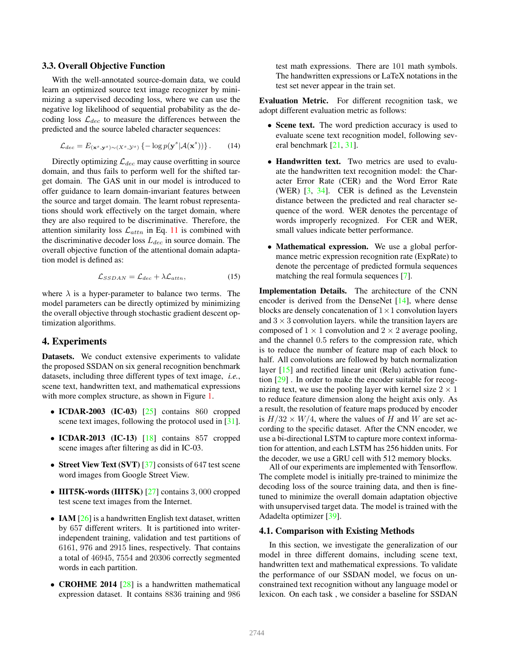#### 3.3. Overall Objective Function

With the well-annotated source-domain data, we could learn an optimized source text image recognizer by minimizing a supervised decoding loss, where we can use the negative log likelihood of sequential probability as the decoding loss  $\mathcal{L}_{dec}$  to measure the differences between the predicted and the source labeled character sequences:

$$
\mathcal{L}_{dec} = E_{(\mathbf{x}^s, \mathbf{y}^s) \sim (X^s, \mathcal{Y}^s)} \left\{ -\log p(\mathbf{y}^s | \mathcal{A}(\mathbf{x}^s)) \right\}.
$$
 (14)

Directly optimizing  $\mathcal{L}_{dec}$  may cause overfitting in source domain, and thus fails to perform well for the shifted target domain. The GAS unit in our model is introduced to offer guidance to learn domain-invariant features between the source and target domain. The learnt robust representations should work effectively on the target domain, where they are also required to be discriminative. Therefore, the attention similarity loss  $\mathcal{L}_{attn}$  in Eq. 11 is combined with the discriminative decoder loss  $L_{dec}$  in source domain. The overall objective function of the attentional domain adaptation model is defined as:

$$
\mathcal{L}_{SSDAN} = \mathcal{L}_{dec} + \lambda \mathcal{L}_{attn},\tag{15}
$$

where  $\lambda$  is a hyper-parameter to balance two terms. The model parameters can be directly optimized by minimizing the overall objective through stochastic gradient descent optimization algorithms.

## 4. Experiments

Datasets. We conduct extensive experiments to validate the proposed SSDAN on six general recognition benchmark datasets, including three different types of text image, *i.e.*, scene text, handwritten text, and mathematical expressions with more complex structure, as shown in Figure 1.

- ICDAR-2003 (IC-03)  $[25]$  contains 860 cropped scene text images, following the protocol used in [31].
- ICDAR-2013 (IC-13)  $[18]$  contains 857 cropped scene images after filtering as did in IC-03.
- Street View Text (SVT) [37] consists of 647 test scene word images from Google Street View.
- IIIT5K-words (IIIT5K) [27] contains 3,000 cropped test scene text images from the Internet.
- IAM  $[26]$  is a handwritten English text dataset, written by 657 different writers. It is partitioned into writerindependent training, validation and test partitions of 6161, 976 and 2915 lines, respectively. That contains a total of 46945, 7554 and 20306 correctly segmented words in each partition.
- **CROHME 2014** [28] is a handwritten mathematical expression dataset. It contains 8836 training and 986

test math expressions. There are 101 math symbols. The handwritten expressions or LaTeX notations in the test set never appear in the train set.

Evaluation Metric. For different recognition task, we adopt different evaluation metric as follows:

- Scene text. The word prediction accuracy is used to evaluate scene text recognition model, following several benchmark [21, 31].
- Handwritten text. Two metrics are used to evaluate the handwritten text recognition model: the Character Error Rate (CER) and the Word Error Rate (WER) [3, 34]. CER is defined as the Levenstein distance between the predicted and real character sequence of the word. WER denotes the percentage of words improperly recognized. For CER and WER, small values indicate better performance.
- Mathematical expression. We use a global performance metric expression recognition rate (ExpRate) to denote the percentage of predicted formula sequences matching the real formula sequences [7].

Implementation Details. The architecture of the CNN encoder is derived from the DenseNet [14], where dense blocks are densely concatenation of  $1 \times 1$  convolution layers and  $3 \times 3$  convolution layers, while the transition layers are composed of  $1 \times 1$  convolution and  $2 \times 2$  average pooling, and the channel 0.5 refers to the compression rate, which is to reduce the number of feature map of each block to half. All convolutions are followed by batch normalization layer [15] and rectified linear unit (Relu) activation function [29] . In order to make the encoder suitable for recognizing text, we use the pooling layer with kernel size  $2 \times 1$ to reduce feature dimension along the height axis only. As a result, the resolution of feature maps produced by encoder is  $H/32 \times W/4$ , where the values of H and W are set according to the specific dataset. After the CNN encoder, we use a bi-directional LSTM to capture more context information for attention, and each LSTM has 256 hidden units. For the decoder, we use a GRU cell with 512 memory blocks.

All of our experiments are implemented with Tensorflow. The complete model is initially pre-trained to minimize the decoding loss of the source training data, and then is finetuned to minimize the overall domain adaptation objective with unsupervised target data. The model is trained with the Adadelta optimizer [39].

#### 4.1. Comparison with Existing Methods

In this section, we investigate the generalization of our model in three different domains, including scene text, handwritten text and mathematical expressions. To validate the performance of our SSDAN model, we focus on unconstrained text recognition without any language model or lexicon. On each task , we consider a baseline for SSDAN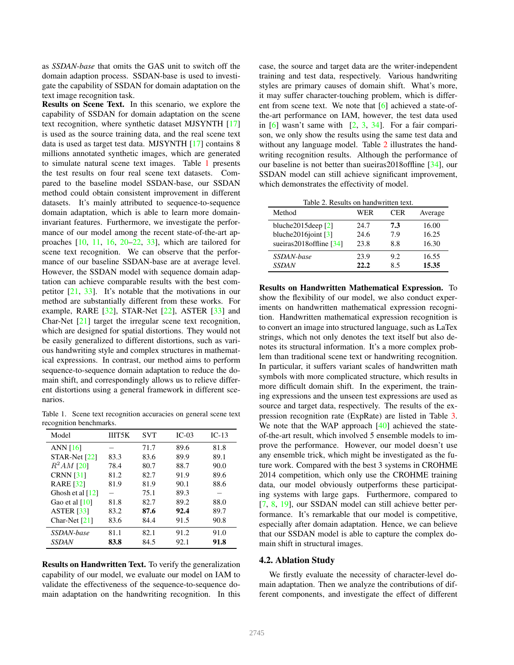as *SSDAN-base* that omits the GAS unit to switch off the domain adaption process. SSDAN-base is used to investigate the capability of SSDAN for domain adaptation on the text image recognition task.

Results on Scene Text. In this scenario, we explore the capability of SSDAN for domain adaptation on the scene text recognition, where synthetic dataset MJSYNTH [17] is used as the source training data, and the real scene text data is used as target test data. MJSYNTH [17] contains 8 millions annotated synthetic images, which are generated to simulate natural scene text images. Table 1 presents the test results on four real scene text datasets. Compared to the baseline model SSDAN-base, our SSDAN method could obtain consistent improvement in different datasets. It's mainly attributed to sequence-to-sequence domain adaptation, which is able to learn more domaininvariant features. Furthermore, we investigate the performance of our model among the recent state-of-the-art approaches  $[10, 11, 16, 20-22, 33]$ , which are tailored for scene text recognition. We can observe that the performance of our baseline SSDAN-base are at average level. However, the SSDAN model with sequence domain adaptation can achieve comparable results with the best competitor [21, 33]. It's notable that the motivations in our method are substantially different from these works. For example, RARE [32], STAR-Net [22], ASTER [33] and Char-Net [21] target the irregular scene text recognition, which are designed for spatial distortions. They would not be easily generalized to different distortions, such as various handwriting style and complex structures in mathematical expressions. In contrast, our method aims to perform sequence-to-sequence domain adaptation to reduce the domain shift, and correspondingly allows us to relieve different distortions using a general framework in different scenarios.

Table 1. Scene text recognition accuracies on general scene text recognition benchmarks.

| Model              | <b>IIIT5K</b> | SVT  | $IC-03$ | $IC-13$ |
|--------------------|---------------|------|---------|---------|
| ANN $[16]$         |               | 71.7 | 89.6    | 81.8    |
| $STAR-Net [22]$    | 83.3          | 83.6 | 89.9    | 89.1    |
| $R^2AM$ [20]       | 78.4          | 80.7 | 88.7    | 90.0    |
| <b>CRNN</b> [31]   | 81.2          | 82.7 | 91.9    | 89.6    |
| <b>RARE</b> [32]   | 81.9          | 81.9 | 90.1    | 88.6    |
| Ghosh et al $[12]$ |               | 75.1 | 89.3    |         |
| Gao et al $[10]$   | 81.8          | 82.7 | 89.2    | 88.0    |
| <b>ASTER</b> [33]  | 83.2          | 87.6 | 92.4    | 89.7    |
| Char-Net $[21]$    | 83.6          | 84.4 | 91.5    | 90.8    |
| SSDAN-base         | 81.1          | 82.1 | 91.2    | 91.0    |
| SSDAN              | 83.8          | 84.5 | 92.1    | 91.8    |

Results on Handwritten Text. To verify the generalization capability of our model, we evaluate our model on IAM to validate the effectiveness of the sequence-to-sequence domain adaptation on the handwriting recognition. In this case, the source and target data are the writer-independent training and test data, respectively. Various handwriting styles are primary causes of domain shift. What's more, it may suffer character-touching problem, which is different from scene text. We note that [6] achieved a state-ofthe-art performance on IAM, however, the test data used in  $[6]$  wasn't same with  $[2, 3, 34]$ . For a fair comparison, we only show the results using the same test data and without any language model. Table 2 illustrates the handwriting recognition results. Although the performance of our baseline is not better than sueiras2018offline [34], our SSDAN model can still achieve significant improvement, which demonstrates the effectivity of model.

| Method                   | WER  | <b>CER</b> | Average |
|--------------------------|------|------------|---------|
| bluche $2015$ deep $[2]$ | 24.7 | 7.3        | 16.00   |
| bluche $2016$ joint [3]  | 24.6 | 7.9        | 16.25   |
| sueiras2018 offline [34] | 23.8 | 8.8        | 16.30   |
| SSDAN-base               | 23.9 | 9.2        | 16.55   |
| <b>SSDAN</b>             | 22.2 | 85         | 15.35   |

Results on Handwritten Mathematical Expression. To show the flexibility of our model, we also conduct experiments on handwritten mathematical expression recognition. Handwritten mathematical expression recognition is to convert an image into structured language, such as LaTex strings, which not only denotes the text itself but also denotes its structural information. It's a more complex problem than traditional scene text or handwriting recognition. In particular, it suffers variant scales of handwritten math symbols with more complicated structure, which results in more difficult domain shift. In the experiment, the training expressions and the unseen test expressions are used as source and target data, respectively. The results of the expression recognition rate (ExpRate) are listed in Table 3. We note that the WAP approach [40] achieved the stateof-the-art result, which involved 5 ensemble models to improve the performance. However, our model doesn't use any ensemble trick, which might be investigated as the future work. Compared with the best 3 systems in CROHME 2014 competition, which only use the CROHME training data, our model obviously outperforms these participating systems with large gaps. Furthermore, compared to [7, 8, 19], our SSDAN model can still achieve better performance. It's remarkable that our model is competitive, especially after domain adaptation. Hence, we can believe that our SSDAN model is able to capture the complex domain shift in structural images.

#### 4.2. Ablation Study

We firstly evaluate the necessity of character-level domain adaptation. Then we analyze the contributions of different components, and investigate the effect of different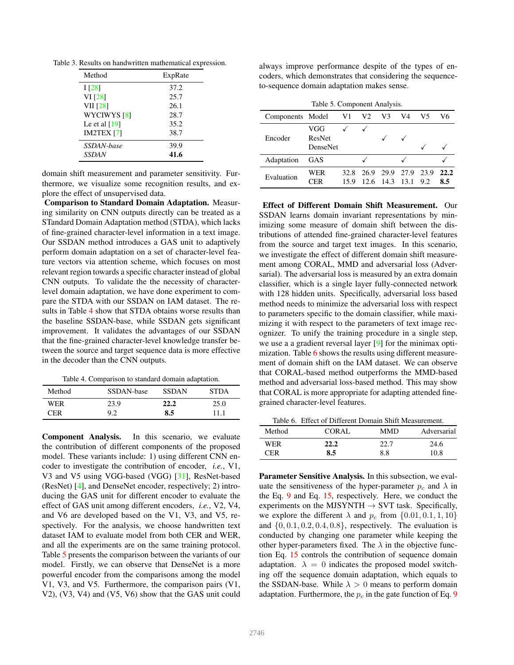Table 3. Results on handwritten mathematical expression.

| Method                 | ExpRate |
|------------------------|---------|
| 1 <sup>[28]</sup>      | 37.2    |
| VI [28]                | 25.7    |
| <b>VII</b> [28]        | 26.1    |
| WYCIWYS <sup>[8]</sup> | 28.7    |
| Le et al $[19]$        | 35.2    |
| <b>IM2TEX</b> [7]      | 38.7    |
| SSDAN-base             | 39.9    |
| <b>SSDAN</b>           | 41.6    |

domain shift measurement and parameter sensitivity. Furthermore, we visualize some recognition results, and explore the effect of unsupervised data.

Comparison to Standard Domain Adaptation. Measuring similarity on CNN outputs directly can be treated as a STandard Domain Adaptation method (STDA), which lacks of fine-grained character-level information in a text image. Our SSDAN method introduces a GAS unit to adaptively perform domain adaptation on a set of character-level feature vectors via attention scheme, which focuses on most relevant region towards a specific character instead of global CNN outputs. To validate the the necessity of characterlevel domain adaptation, we have done experiment to compare the STDA with our SSDAN on IAM dataset. The results in Table 4 show that STDA obtains worse results than the baseline SSDAN-base, while SSDAN gets significant improvement. It validates the advantages of our SSDAN that the fine-grained character-level knowledge transfer between the source and target sequence data is more effective in the decoder than the CNN outputs.

Table 4. Comparison to standard domain adaptation.

| Method | SSDAN-base | <b>SSDAN</b> | <b>STDA</b> |
|--------|------------|--------------|-------------|
| WER    | 23.9       | 22.2         | 25.0        |
| ™FR    | 9.2        | 8.5          | 11.1        |

Component Analysis. In this scenario, we evaluate the contribution of different components of the proposed model. These variants include: 1) using different CNN encoder to investigate the contribution of encoder, *i.e.*, V1, V3 and V5 using VGG-based (VGG) [31], ResNet-based (ResNet) [4], and DenseNet encoder, respectively; 2) introducing the GAS unit for different encoder to evaluate the effect of GAS unit among different encoders, *i.e.*, V2, V4, and V6 are developed based on the V1, V3, and V5, respectively. For the analysis, we choose handwritten text dataset IAM to evaluate model from both CER and WER, and all the experiments are on the same training protocol. Table 5 presents the comparison between the variants of our model. Firstly, we can observe that DenseNet is a more powerful encoder from the comparisons among the model V1, V3, and V5. Furthermore, the comparison pairs (V1, V2), (V3, V4) and (V5, V6) show that the GAS unit could always improve performance despite of the types of encoders, which demonstrates that considering the sequenceto-sequence domain adaptation makes sense.

| Table 5. Component Analysis. |                                  |             |                |                          |      |             |             |
|------------------------------|----------------------------------|-------------|----------------|--------------------------|------|-------------|-------------|
| Components Model             |                                  | V1          | V <sub>2</sub> | V3                       | V4   | V5          | V6          |
| Encoder                      | VGG<br>ResNet<br><b>DenseNet</b> |             |                |                          |      |             |             |
| Adaptation                   | GAS                              |             |                |                          |      |             |             |
| Evaluation                   | WER<br>CER                       | 32 R<br>159 | 26.9           | 29.9<br>$12.6$ 14.3 13.1 | 27.9 | 23.9<br>9.2 | 22.2<br>8.5 |

Effect of Different Domain Shift Measurement. Our SSDAN learns domain invariant representations by minimizing some measure of domain shift between the distributions of attended fine-grained character-level features from the source and target text images. In this scenario, we investigate the effect of different domain shift measurement among CORAL, MMD and adversarial loss (Adversarial). The adversarial loss is measured by an extra domain classifier, which is a single layer fully-connected network with 128 hidden units. Specifically, adversarial loss based method needs to minimize the adversarial loss with respect to parameters specific to the domain classifier, while maximizing it with respect to the parameters of text image recognizer. To unify the training procedure in a single step, we use a a gradient reversal layer [9] for the minimax optimization. Table 6 shows the results using different measurement of domain shift on the IAM dataset. We can observe that CORAL-based method outperforms the MMD-based method and adversarial loss-based method. This may show that CORAL is more appropriate for adapting attended finegrained character-level features.

Table 6. Effect of Different Domain Shift Measurement.

| Method | CORAL | MMD  | Adversarial |
|--------|-------|------|-------------|
| WER    | 22.2  | 22.7 | 24.6        |
| CER.   | 8.5   | 8.8  | 10.8        |

Parameter Sensitive Analysis. In this subsection, we evaluate the sensitiveness of the hyper-parameter  $p_c$  and  $\lambda$  in the Eq. 9 and Eq. 15, respectively. Here, we conduct the experiments on the MJSYNTH  $\rightarrow$  SVT task. Specifically, we explore the different  $\lambda$  and  $p_c$  from  $\{0.01, 0.1, 1, 10\}$ and  $\{0, 0.1, 0.2, 0.4, 0.8\}$ , respectively. The evaluation is conducted by changing one parameter while keeping the other hyper-parameters fixed. The  $\lambda$  in the objective function Eq. 15 controls the contribution of sequence domain adaptation.  $\lambda = 0$  indicates the proposed model switching off the sequence domain adaptation, which equals to the SSDAN-base. While  $\lambda > 0$  means to perform domain adaptation. Furthermore, the  $p_c$  in the gate function of Eq. 9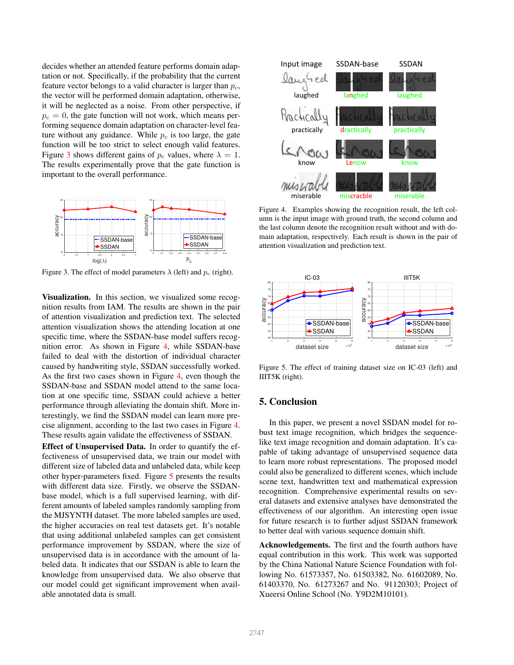decides whether an attended feature performs domain adaptation or not. Specifically, if the probability that the current feature vector belongs to a valid character is larger than  $p_c$ , the vector will be performed domain adaptation, otherwise, it will be neglected as a noise. From other perspective, if  $p_c = 0$ , the gate function will not work, which means performing sequence domain adaptation on character-level feature without any guidance. While  $p_c$  is too large, the gate function will be too strict to select enough valid features. Figure 3 shows different gains of  $p_c$  values, where  $\lambda = 1$ . The results experimentally prove that the gate function is important to the overall performance.



Figure 3. The effect of model parameters  $\lambda$  (left) and  $p_c$  (right).

Visualization. In this section, we visualized some recognition results from IAM. The results are shown in the pair of attention visualization and prediction text. The selected attention visualization shows the attending location at one specific time, where the SSDAN-base model suffers recognition error. As shown in Figure 4, while SSDAN-base failed to deal with the distortion of individual character caused by handwriting style, SSDAN successfully worked. As the first two cases shown in Figure 4, even though the SSDAN-base and SSDAN model attend to the same location at one specific time, SSDAN could achieve a better performance through alleviating the domain shift. More interestingly, we find the SSDAN model can learn more precise alignment, according to the last two cases in Figure 4. These results again validate the effectiveness of SSDAN.

Effect of Unsupervised Data. In order to quantify the effectiveness of unsupervised data, we train our model with different size of labeled data and unlabeled data, while keep other hyper-parameters fixed. Figure 5 presents the results with different data size. Firstly, we observe the SSDANbase model, which is a full supervised learning, with different amounts of labeled samples randomly sampling from the MJSYNTH dataset. The more labeled samples are used, the higher accuracies on real test datasets get. It's notable that using additional unlabeled samples can get consistent performance improvement by SSDAN, where the size of unsupervised data is in accordance with the amount of labeled data. It indicates that our SSDAN is able to learn the knowledge from unsupervised data. We also observe that our model could get significant improvement when available annotated data is small.



Figure 4. Examples showing the recognition result, the left column is the input image with ground truth, the second column and the last column denote the recognition result without and with domain adaptation, respectively. Each result is shown in the pair of attention visualization and prediction text.



Figure 5. The effect of training dataset size on IC-03 (left) and IIIT5K (right).

# 5. Conclusion

In this paper, we present a novel SSDAN model for robust text image recognition, which bridges the sequencelike text image recognition and domain adaptation. It's capable of taking advantage of unsupervised sequence data to learn more robust representations. The proposed model could also be generalized to different scenes, which include scene text, handwritten text and mathematical expression recognition. Comprehensive experimental results on several datasets and extensive analyses have demonstrated the effectiveness of our algorithm. An interesting open issue for future research is to further adjust SSDAN framework to better deal with various sequence domain shift.

Acknowledgements. The first and the fourth authors have equal contribution in this work. This work was supported by the China National Nature Science Foundation with following No. 61573357, No. 61503382, No. 61602089, No. 61403370, No. 61273267 and No. 91120303; Project of Xueersi Online School (No. Y9D2M10101).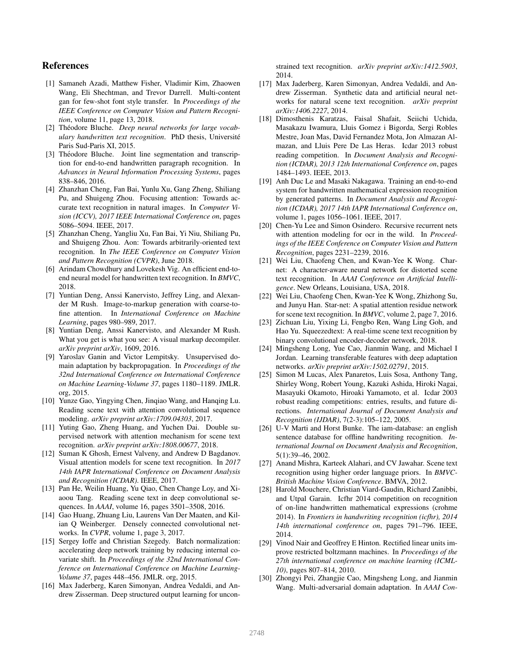## References

- [1] Samaneh Azadi, Matthew Fisher, Vladimir Kim, Zhaowen Wang, Eli Shechtman, and Trevor Darrell. Multi-content gan for few-shot font style transfer. In *Proceedings of the IEEE Conference on Computer Vision and Pattern Recognition*, volume 11, page 13, 2018.
- [2] Théodore Bluche. *Deep neural networks for large vocabulary handwritten text recognition*. PhD thesis, Universite´ Paris Sud-Paris XI, 2015.
- [3] Théodore Bluche. Joint line segmentation and transcription for end-to-end handwritten paragraph recognition. In *Advances in Neural Information Processing Systems*, pages 838–846, 2016.
- [4] Zhanzhan Cheng, Fan Bai, Yunlu Xu, Gang Zheng, Shiliang Pu, and Shuigeng Zhou. Focusing attention: Towards accurate text recognition in natural images. In *Computer Vision (ICCV), 2017 IEEE International Conference on*, pages 5086–5094. IEEE, 2017.
- [5] Zhanzhan Cheng, Yangliu Xu, Fan Bai, Yi Niu, Shiliang Pu, and Shuigeng Zhou. Aon: Towards arbitrarily-oriented text recognition. In *The IEEE Conference on Computer Vision and Pattern Recognition (CVPR)*, June 2018.
- [6] Arindam Chowdhury and Lovekesh Vig. An efficient end-toend neural model for handwritten text recognition. In *BMVC*, 2018.
- [7] Yuntian Deng, Anssi Kanervisto, Jeffrey Ling, and Alexander M Rush. Image-to-markup generation with coarse-tofine attention. In *International Conference on Machine Learning*, pages 980–989, 2017.
- [8] Yuntian Deng, Anssi Kanervisto, and Alexander M Rush. What you get is what you see: A visual markup decompiler. *arXiv preprint arXiv*, 1609, 2016.
- [9] Yaroslav Ganin and Victor Lempitsky. Unsupervised domain adaptation by backpropagation. In *Proceedings of the 32nd International Conference on International Conference on Machine Learning-Volume 37*, pages 1180–1189. JMLR. org, 2015.
- [10] Yunze Gao, Yingying Chen, Jinqiao Wang, and Hanqing Lu. Reading scene text with attention convolutional sequence modeling. *arXiv preprint arXiv:1709.04303*, 2017.
- [11] Yuting Gao, Zheng Huang, and Yuchen Dai. Double supervised network with attention mechanism for scene text recognition. *arXiv preprint arXiv:1808.00677*, 2018.
- [12] Suman K Ghosh, Ernest Valveny, and Andrew D Bagdanov. Visual attention models for scene text recognition. In *2017 14th IAPR International Conference on Document Analysis and Recognition (ICDAR)*. IEEE, 2017.
- [13] Pan He, Weilin Huang, Yu Qiao, Chen Change Loy, and Xiaoou Tang. Reading scene text in deep convolutional sequences. In *AAAI*, volume 16, pages 3501–3508, 2016.
- [14] Gao Huang, Zhuang Liu, Laurens Van Der Maaten, and Kilian Q Weinberger. Densely connected convolutional networks. In *CVPR*, volume 1, page 3, 2017.
- [15] Sergey Ioffe and Christian Szegedy. Batch normalization: accelerating deep network training by reducing internal covariate shift. In *Proceedings of the 32nd International Conference on International Conference on Machine Learning-Volume 37*, pages 448–456. JMLR. org, 2015.
- [16] Max Jaderberg, Karen Simonyan, Andrea Vedaldi, and Andrew Zisserman. Deep structured output learning for uncon-

strained text recognition. *arXiv preprint arXiv:1412.5903*, 2014.

- [17] Max Jaderberg, Karen Simonyan, Andrea Vedaldi, and Andrew Zisserman. Synthetic data and artificial neural networks for natural scene text recognition. *arXiv preprint arXiv:1406.2227*, 2014.
- [18] Dimosthenis Karatzas, Faisal Shafait, Seiichi Uchida, Masakazu Iwamura, Lluis Gomez i Bigorda, Sergi Robles Mestre, Joan Mas, David Fernandez Mota, Jon Almazan Almazan, and Lluis Pere De Las Heras. Icdar 2013 robust reading competition. In *Document Analysis and Recognition (ICDAR), 2013 12th International Conference on*, pages 1484–1493. IEEE, 2013.
- [19] Anh Duc Le and Masaki Nakagawa. Training an end-to-end system for handwritten mathematical expression recognition by generated patterns. In *Document Analysis and Recognition (ICDAR), 2017 14th IAPR International Conference on*, volume 1, pages 1056–1061. IEEE, 2017.
- [20] Chen-Yu Lee and Simon Osindero. Recursive recurrent nets with attention modeling for ocr in the wild. In *Proceedings of the IEEE Conference on Computer Vision and Pattern Recognition*, pages 2231–2239, 2016.
- [21] Wei Liu, Chaofeng Chen, and Kwan-Yee K Wong. Charnet: A character-aware neural network for distorted scene text recognition. In *AAAI Conference on Artificial Intelligence*. New Orleans, Louisiana, USA, 2018.
- [22] Wei Liu, Chaofeng Chen, Kwan-Yee K Wong, Zhizhong Su, and Junyu Han. Star-net: A spatial attention residue network for scene text recognition. In *BMVC*, volume 2, page 7, 2016.
- [23] Zichuan Liu, Yixing Li, Fengbo Ren, Wang Ling Goh, and Hao Yu. Squeezedtext: A real-time scene text recognition by binary convolutional encoder-decoder network, 2018.
- [24] Mingsheng Long, Yue Cao, Jianmin Wang, and Michael I Jordan. Learning transferable features with deep adaptation networks. *arXiv preprint arXiv:1502.02791*, 2015.
- [25] Simon M Lucas, Alex Panaretos, Luis Sosa, Anthony Tang, Shirley Wong, Robert Young, Kazuki Ashida, Hiroki Nagai, Masayuki Okamoto, Hiroaki Yamamoto, et al. Icdar 2003 robust reading competitions: entries, results, and future directions. *International Journal of Document Analysis and Recognition (IJDAR)*, 7(2-3):105–122, 2005.
- [26] U-V Marti and Horst Bunke. The iam-database: an english sentence database for offline handwriting recognition. *International Journal on Document Analysis and Recognition*, 5(1):39–46, 2002.
- [27] Anand Mishra, Karteek Alahari, and CV Jawahar. Scene text recognition using higher order language priors. In *BMVC-British Machine Vision Conference*. BMVA, 2012.
- [28] Harold Mouchere, Christian Viard-Gaudin, Richard Zanibbi, and Utpal Garain. Icfhr 2014 competition on recognition of on-line handwritten mathematical expressions (crohme 2014). In *Frontiers in handwriting recognition (icfhr), 2014 14th international conference on*, pages 791–796. IEEE, 2014.
- [29] Vinod Nair and Geoffrey E Hinton. Rectified linear units improve restricted boltzmann machines. In *Proceedings of the 27th international conference on machine learning (ICML-10)*, pages 807–814, 2010.
- [30] Zhongyi Pei, Zhangjie Cao, Mingsheng Long, and Jianmin Wang. Multi-adversarial domain adaptation. In *AAAI Con-*